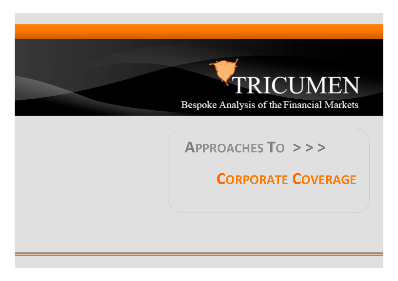# TRICUMEN

Bespoke Analysis of the Financial Markets

#### APPROACHES TO >>>

### **CORPORATE COVERAGE**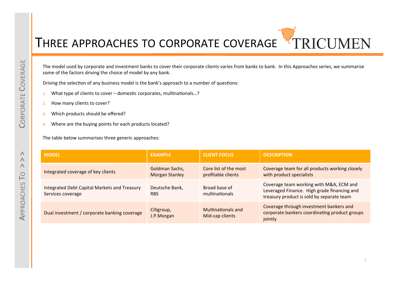## THREE APPROACHES TO CORPORATE COVERAGE TRICUMEN

The model used by corporate and investment banks to cover their corporate clients varies from banks to bank. In this Approaches series, we summarise some of the factors driving the choice of model by any bank.

Driving the selection of any business model is the bank's approach to a number of questions:

- 1. What type of clients to cover domestic corporates, multinationals...?
- 2. How many clients to cover?
- 3. Which products should be offered?
- 4. Where are the buying points for each products located?

The table below summarises three generic approaches:

| <b>MODEL</b>                                                      | <b>EXAMPLE</b>                          | <b>CLIENT FOCUS</b>                         | <b>DESCRIPTION</b>                                                                                                                  |
|-------------------------------------------------------------------|-----------------------------------------|---------------------------------------------|-------------------------------------------------------------------------------------------------------------------------------------|
| Integrated coverage of key clients                                | Goldman Sachs,<br><b>Morgan Stanley</b> | Core list of the most<br>profitable clients | Coverage team for all products working closely<br>with product specialists                                                          |
| Integrated Debt Capital Markets and Treasury<br>Services coverage | Deutsche Bank,<br><b>RBS</b>            | Broad base of<br>multinationals             | Coverage team working with M&A, ECM and<br>Leveraged Finance. High grade financing and<br>treasury product is sold by separate team |
| Dual investment / corporate banking coverage                      | Citigroup,<br>J.P.Morgan                | Multinationals and<br>Mid-cap clients       | Coverage through investment bankers and<br>corporate bankers coordinating product groups<br>jointly                                 |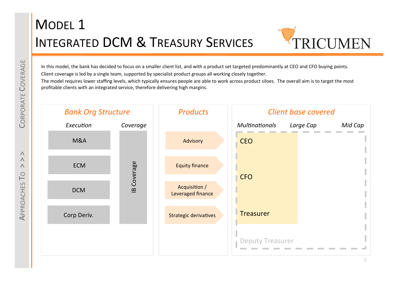### **MODEL 1 INTEGRATED DCM & TREASURY SERVICES**



In this model, the bank has decided to focus on a smaller client list, and with a product set targeted predominantly at CEO and CFO buying points. Client coverage is led by a single team, supported by specialist product groups all working closely together.

The model requires lower staffing levels, which typically ensures people are able to work across product siloes. The overall aim is to target the most profitable clients with an integrated service, therefore delivering high margins.

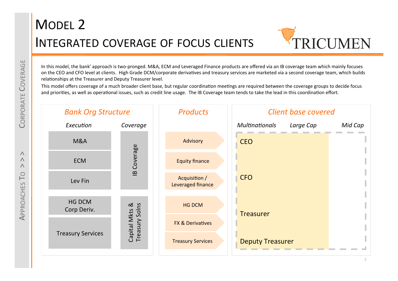

In this model, the bank' approach is two-pronged. M&A, ECM and Leveraged Finance products are offered via an IB coverage team which mainly focuses on the CEO and CFO level at clients. High Grade DCM/corporate derivatives and treasury services are marketed via a second coverage team, which builds relationships at the Treasurer and Deputy Treasurer level.

This model offers coverage of a much broader client base, but regular coordination meetings are required between the coverage groups to decide focus and priorities, as well as operational issues, such as credit line usage. The IB Coverage team tends to take the lead in this coordination effort.

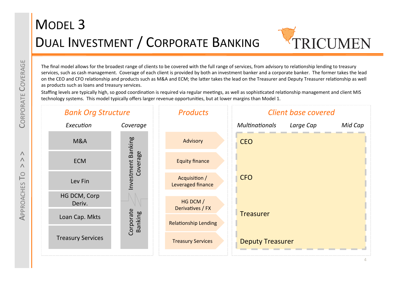# MODEL<sub>3</sub> DUAL INVESTMENT / CORPORATE BANKING



The final model allows for the broadest range of clients to be covered with the full range of services, from advisory to relationship lending to treasury services, such as cash management. Coverage of each client is provided by both an investment banker and a corporate banker. The former takes the lead on the CEO and CFO relationship and products such as M&A and ECM; the latter takes the lead on the Treasurer and Deputy Treasurer relationship as well as products such as loans and treasury services.

Staffing levels are typically high, so good coordination is required via regular meetings, as well as sophisticated relationship management and client MIS technology systems. This model typically offers larger revenue opportunities, but at lower margins than Model 1.